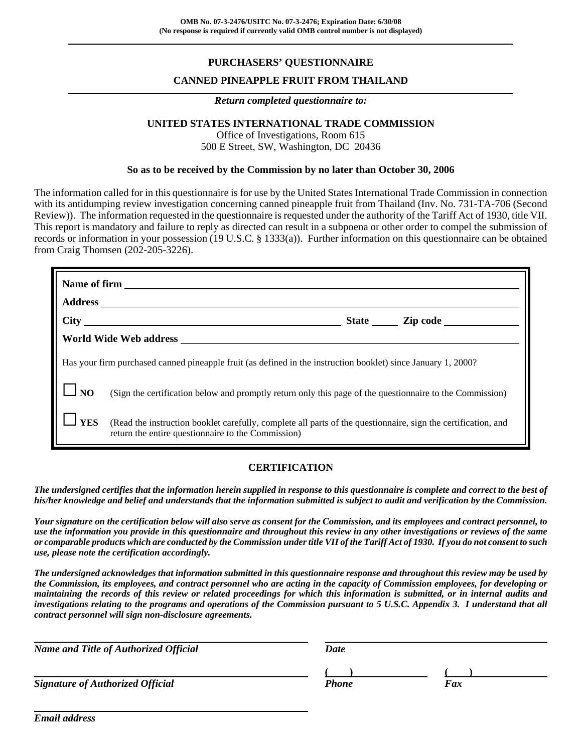# **PURCHASERS' QUESTIONNAIRE**

## **CANNED PINEAPPLE FRUIT FROM THAILAND**

#### *Return completed questionnaire to:*

#### **UNITED STATES INTERNATIONAL TRADE COMMISSION**

Office of Investigations, Room 615 500 E Street, SW, Washington, DC 20436

#### **So as to be received by the Commission by no later than October 30, 2006**

The information called for in this questionnaire is for use by the United States International Trade Commission in connection with its antidumping review investigation concerning canned pineapple fruit from Thailand (Inv. No. 731-TA-706 (Second Review)). The information requested in the questionnaire is requested under the authority of the Tariff Act of 1930, title VII. This report is mandatory and failure to reply as directed can result in a subpoena or other order to compel the submission of records or information in your possession (19 U.S.C. § 1333(a)). Further information on this questionnaire can be obtained from Craig Thomsen (202-205-3226).

|                                                                                                               | World Wide Web address North States and States and States and States and States and States and States and States and States and States and States and States and States and States and States and States and States and States |  |  |
|---------------------------------------------------------------------------------------------------------------|--------------------------------------------------------------------------------------------------------------------------------------------------------------------------------------------------------------------------------|--|--|
| Has your firm purchased canned pineapple fruit (as defined in the instruction booklet) since January 1, 2000? |                                                                                                                                                                                                                                |  |  |
| <b>NO</b>                                                                                                     | (Sign the certification below and promptly return only this page of the questionnaire to the Commission)                                                                                                                       |  |  |
| <b>YES</b>                                                                                                    | (Read the instruction booklet carefully, complete all parts of the questionnaire, sign the certification, and<br>return the entire questionnaire to the Commission)                                                            |  |  |

### **CERTIFICATION**

*The undersigned certifies that the information herein supplied in response to this questionnaire is complete and correct to the best of his/her knowledge and belief and understands that the information submitted is subject to audit and verification by the Commission.*

*Your signature on the certification below will also serve as consent for the Commission, and its employees and contract personnel, to use the information you provide in this questionnaire and throughout this review in any other investigations or reviews of the same or comparable products which are conducted by the Commission under title VII of the Tariff Act of 1930. If you do not consent to such use, please note the certification accordingly.*

*The undersigned acknowledges that information submitted in this questionnaire response and throughout this review may be used by the Commission, its employees, and contract personnel who are acting in the capacity of Commission employees, for developing or maintaining the records of this review or related proceedings for which this information is submitted, or in internal audits and investigations relating to the programs and operations of the Commission pursuant to 5 U.S.C. Appendix 3. I understand that all contract personnel will sign non-disclosure agreements.*

| <b>Name and Title of Authorized Official</b> | <b>Date</b>  |     |  |
|----------------------------------------------|--------------|-----|--|
|                                              |              |     |  |
| <b>Signature of Authorized Official</b>      | <b>Phone</b> | Fax |  |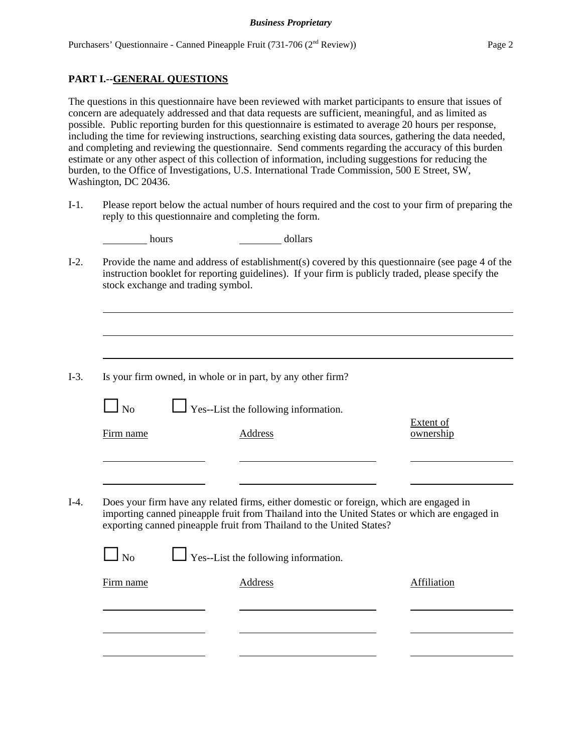## **PART I.--GENERAL QUESTIONS**

The questions in this questionnaire have been reviewed with market participants to ensure that issues of concern are adequately addressed and that data requests are sufficient, meaningful, and as limited as possible. Public reporting burden for this questionnaire is estimated to average 20 hours per response, including the time for reviewing instructions, searching existing data sources, gathering the data needed, and completing and reviewing the questionnaire. Send comments regarding the accuracy of this burden estimate or any other aspect of this collection of information, including suggestions for reducing the burden, to the Office of Investigations, U.S. International Trade Commission, 500 E Street, SW, Washington, DC 20436.

I-1. Please report below the actual number of hours required and the cost to your firm of preparing the reply to this questionnaire and completing the form.

| hours                              | dollars                                                                                                                                                         |                                                                                                                                                                                                         |
|------------------------------------|-----------------------------------------------------------------------------------------------------------------------------------------------------------------|---------------------------------------------------------------------------------------------------------------------------------------------------------------------------------------------------------|
| stock exchange and trading symbol. |                                                                                                                                                                 | Provide the name and address of establishment(s) covered by this questionnaire (see page 4 of the<br>instruction booklet for reporting guidelines). If your firm is publicly traded, please specify the |
|                                    |                                                                                                                                                                 |                                                                                                                                                                                                         |
|                                    | Is your firm owned, in whole or in part, by any other firm?                                                                                                     |                                                                                                                                                                                                         |
| $\Box$ No                          | Yes--List the following information.                                                                                                                            |                                                                                                                                                                                                         |
| Firm name                          | Address                                                                                                                                                         | <b>Extent of</b><br>ownership                                                                                                                                                                           |
|                                    |                                                                                                                                                                 |                                                                                                                                                                                                         |
|                                    | Does your firm have any related firms, either domestic or foreign, which are engaged in<br>exporting canned pineapple fruit from Thailand to the United States? | importing canned pineapple fruit from Thailand into the United States or which are engaged in                                                                                                           |
| $\log$                             | Yes--List the following information.                                                                                                                            |                                                                                                                                                                                                         |
| Firm name                          | Address                                                                                                                                                         | <b>Affiliation</b>                                                                                                                                                                                      |
|                                    |                                                                                                                                                                 |                                                                                                                                                                                                         |
|                                    |                                                                                                                                                                 |                                                                                                                                                                                                         |
|                                    |                                                                                                                                                                 |                                                                                                                                                                                                         |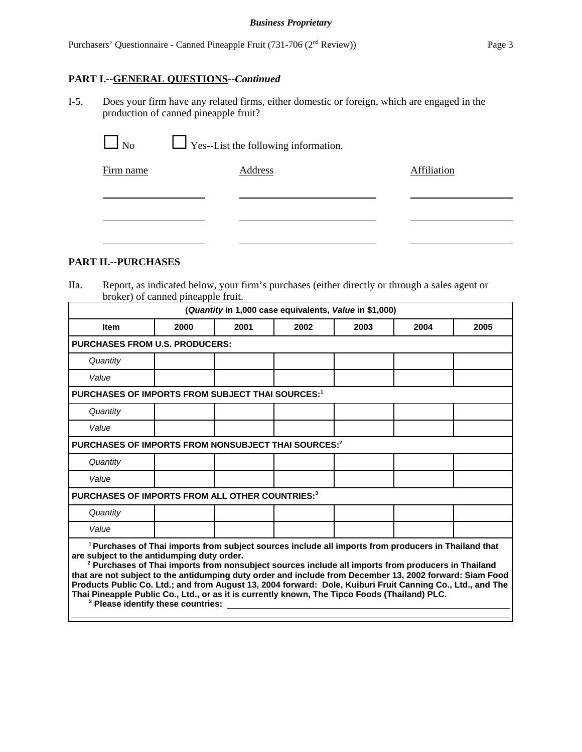# **PART I.--GENERAL QUESTIONS--***Continued*

I-5. Does your firm have any related firms, either domestic or foreign, which are engaged in the production of canned pineapple fruit?

| No.       | $\Box$ Yes--List the following information. |             |
|-----------|---------------------------------------------|-------------|
| Firm name | Address                                     | Affiliation |
|           |                                             |             |
|           |                                             |             |

# **PART II.--PURCHASES**

IIa. Report, as indicated below, your firm's purchases (either directly or through a sales agent or broker) of canned pineapple fruit.

|                                                                                                                                                                                                                                                                                                                                                                       |                                                         |      | (Quantity in 1,000 case equivalents, Value in \$1,000) |      |                                                                                                                                                                                                                                  |      |
|-----------------------------------------------------------------------------------------------------------------------------------------------------------------------------------------------------------------------------------------------------------------------------------------------------------------------------------------------------------------------|---------------------------------------------------------|------|--------------------------------------------------------|------|----------------------------------------------------------------------------------------------------------------------------------------------------------------------------------------------------------------------------------|------|
| <b>Item</b>                                                                                                                                                                                                                                                                                                                                                           | 2000                                                    | 2001 | 2002                                                   | 2003 | 2004                                                                                                                                                                                                                             | 2005 |
| <b>PURCHASES FROM U.S. PRODUCERS:</b>                                                                                                                                                                                                                                                                                                                                 |                                                         |      |                                                        |      |                                                                                                                                                                                                                                  |      |
| Quantity                                                                                                                                                                                                                                                                                                                                                              |                                                         |      |                                                        |      |                                                                                                                                                                                                                                  |      |
| Value                                                                                                                                                                                                                                                                                                                                                                 |                                                         |      |                                                        |      |                                                                                                                                                                                                                                  |      |
|                                                                                                                                                                                                                                                                                                                                                                       | <b>PURCHASES OF IMPORTS FROM SUBJECT THAI SOURCES:1</b> |      |                                                        |      |                                                                                                                                                                                                                                  |      |
| Quantity                                                                                                                                                                                                                                                                                                                                                              |                                                         |      |                                                        |      |                                                                                                                                                                                                                                  |      |
| Value                                                                                                                                                                                                                                                                                                                                                                 |                                                         |      |                                                        |      |                                                                                                                                                                                                                                  |      |
| PURCHASES OF IMPORTS FROM NONSUBJECT THAI SOURCES:2                                                                                                                                                                                                                                                                                                                   |                                                         |      |                                                        |      |                                                                                                                                                                                                                                  |      |
| Quantity                                                                                                                                                                                                                                                                                                                                                              |                                                         |      |                                                        |      |                                                                                                                                                                                                                                  |      |
| Value                                                                                                                                                                                                                                                                                                                                                                 |                                                         |      |                                                        |      |                                                                                                                                                                                                                                  |      |
| PURCHASES OF IMPORTS FROM ALL OTHER COUNTRIES:3                                                                                                                                                                                                                                                                                                                       |                                                         |      |                                                        |      |                                                                                                                                                                                                                                  |      |
| Quantity                                                                                                                                                                                                                                                                                                                                                              |                                                         |      |                                                        |      |                                                                                                                                                                                                                                  |      |
| Value                                                                                                                                                                                                                                                                                                                                                                 |                                                         |      |                                                        |      |                                                                                                                                                                                                                                  |      |
| are subject to the antidumping duty order.<br>that are not subject to the antidumping duty order and include from December 13, 2002 forward: Siam Food<br>Products Public Co. Ltd.; and from August 13, 2004 forward: Dole, Kuiburi Fruit Canning Co., Ltd., and The<br>Thai Pineapple Public Co., Ltd., or as it is currently known, The Tipco Foods (Thailand) PLC. | <sup>3</sup> Please identify these countries:           |      |                                                        |      | <sup>1</sup> Purchases of Thai imports from subject sources include all imports from producers in Thailand that<br><sup>2</sup> Purchases of Thai imports from nonsubject sources include all imports from producers in Thailand |      |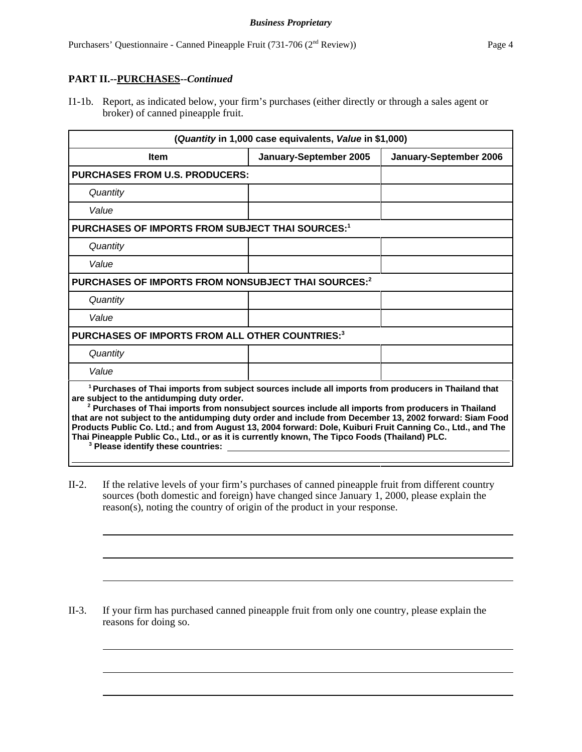## **PART II.--PURCHASES--***Continued*

I1-1b. Report, as indicated below, your firm's purchases (either directly or through a sales agent or broker) of canned pineapple fruit.

| (Quantity in 1,000 case equivalents, Value in \$1,000)                                                                                                                                                                                                                                                                                                                                                                                                                                                                                                                                                                                                     |                        |                        |  |
|------------------------------------------------------------------------------------------------------------------------------------------------------------------------------------------------------------------------------------------------------------------------------------------------------------------------------------------------------------------------------------------------------------------------------------------------------------------------------------------------------------------------------------------------------------------------------------------------------------------------------------------------------------|------------------------|------------------------|--|
| <b>Item</b>                                                                                                                                                                                                                                                                                                                                                                                                                                                                                                                                                                                                                                                | January-September 2005 | January-September 2006 |  |
| <b>PURCHASES FROM U.S. PRODUCERS:</b>                                                                                                                                                                                                                                                                                                                                                                                                                                                                                                                                                                                                                      |                        |                        |  |
| Quantity                                                                                                                                                                                                                                                                                                                                                                                                                                                                                                                                                                                                                                                   |                        |                        |  |
| Value                                                                                                                                                                                                                                                                                                                                                                                                                                                                                                                                                                                                                                                      |                        |                        |  |
| PURCHASES OF IMPORTS FROM SUBJECT THAI SOURCES:1                                                                                                                                                                                                                                                                                                                                                                                                                                                                                                                                                                                                           |                        |                        |  |
| Quantity                                                                                                                                                                                                                                                                                                                                                                                                                                                                                                                                                                                                                                                   |                        |                        |  |
| Value                                                                                                                                                                                                                                                                                                                                                                                                                                                                                                                                                                                                                                                      |                        |                        |  |
| PURCHASES OF IMPORTS FROM NONSUBJECT THAI SOURCES:2                                                                                                                                                                                                                                                                                                                                                                                                                                                                                                                                                                                                        |                        |                        |  |
| Quantity                                                                                                                                                                                                                                                                                                                                                                                                                                                                                                                                                                                                                                                   |                        |                        |  |
| Value                                                                                                                                                                                                                                                                                                                                                                                                                                                                                                                                                                                                                                                      |                        |                        |  |
| PURCHASES OF IMPORTS FROM ALL OTHER COUNTRIES:3                                                                                                                                                                                                                                                                                                                                                                                                                                                                                                                                                                                                            |                        |                        |  |
| Quantity                                                                                                                                                                                                                                                                                                                                                                                                                                                                                                                                                                                                                                                   |                        |                        |  |
| Value                                                                                                                                                                                                                                                                                                                                                                                                                                                                                                                                                                                                                                                      |                        |                        |  |
| <sup>1</sup> Purchases of Thai imports from subject sources include all imports from producers in Thailand that<br>are subject to the antidumping duty order.<br><sup>2</sup> Purchases of Thai imports from nonsubject sources include all imports from producers in Thailand<br>that are not subject to the antidumping duty order and include from December 13, 2002 forward: Siam Food<br>Products Public Co. Ltd.; and from August 13, 2004 forward: Dole, Kuiburi Fruit Canning Co., Ltd., and The<br>Thai Pineapple Public Co., Ltd., or as it is currently known, The Tipco Foods (Thailand) PLC.<br><sup>3</sup> Please identify these countries: |                        |                        |  |

II-2. If the relative levels of your firm's purchases of canned pineapple fruit from different country sources (both domestic and foreign) have changed since January 1, 2000, please explain the reason(s), noting the country of origin of the product in your response.

II-3. If your firm has purchased canned pineapple fruit from only one country, please explain the reasons for doing so.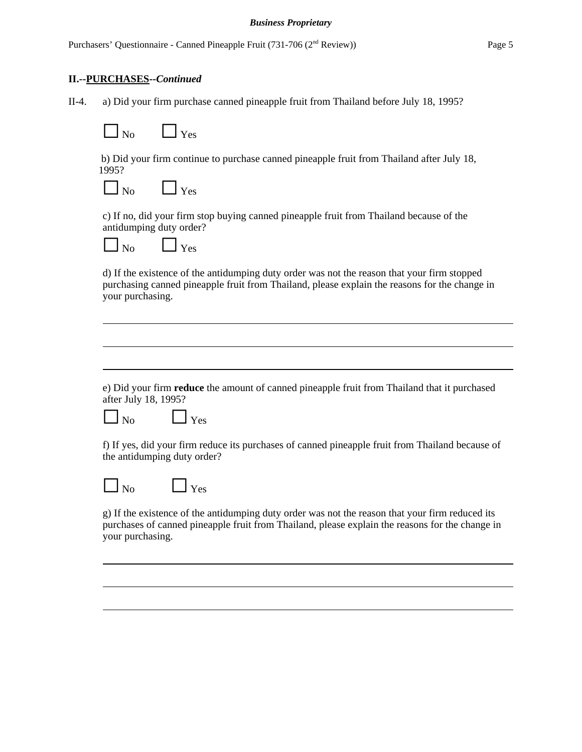### **II.--PURCHASES--***Continued*

II-4. a) Did your firm purchase canned pineapple fruit from Thailand before July 18, 1995?



 b) Did your firm continue to purchase canned pineapple fruit from Thailand after July 18, 1995?

| No.<br>Yes |
|------------|
|------------|

c) If no, did your firm stop buying canned pineapple fruit from Thailand because of the antidumping duty order?

| ∩ | ∸∾ |
|---|----|
|   |    |

d) If the existence of the antidumping duty order was not the reason that your firm stopped purchasing canned pineapple fruit from Thailand, please explain the reasons for the change in your purchasing.

e) Did your firm **reduce** the amount of canned pineapple fruit from Thailand that it purchased after July 18, 1995?

 $N<sub>o</sub>$   $\qquad \qquad$  Yes

f) If yes, did your firm reduce its purchases of canned pineapple fruit from Thailand because of the antidumping duty order?

 $\Box$  Yes

g) If the existence of the antidumping duty order was not the reason that your firm reduced its purchases of canned pineapple fruit from Thailand, please explain the reasons for the change in your purchasing.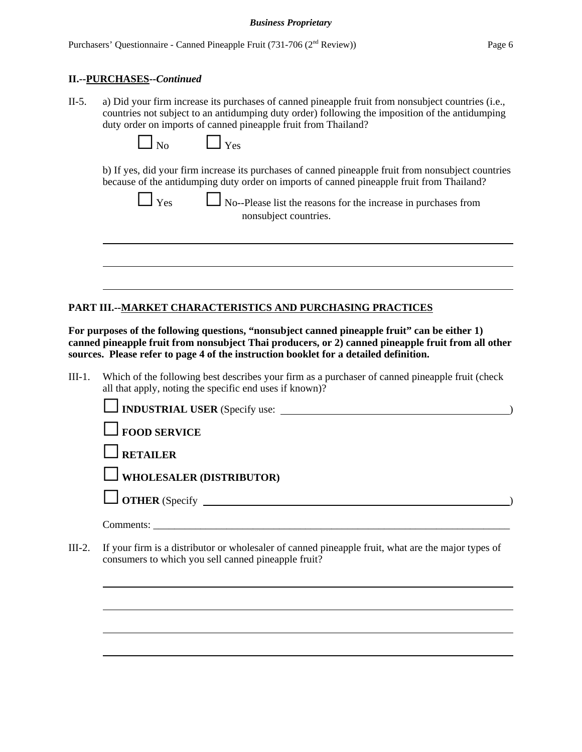### **II.--PURCHASES--***Continued*

II-5. a) Did your firm increase its purchases of canned pineapple fruit from nonsubject countries (i.e., countries not subject to an antidumping duty order) following the imposition of the antidumping duty order on imports of canned pineapple fruit from Thailand?

| Nο | Yes |
|----|-----|
|----|-----|

b) If yes, did your firm increase its purchases of canned pineapple fruit from nonsubject countries because of the antidumping duty order on imports of canned pineapple fruit from Thailand?

| v.<br>۰.<br>I |
|---------------|

 $\Box$  No--Please list the reasons for the increase in purchases from nonsubject countries.

## **PART III.--MARKET CHARACTERISTICS AND PURCHASING PRACTICES**

**For purposes of the following questions, "nonsubject canned pineapple fruit" can be either 1) canned pineapple fruit from nonsubject Thai producers, or 2) canned pineapple fruit from all other sources. Please refer to page 4 of the instruction booklet for a detailed definition.** 

III-1. Which of the following best describes your firm as a purchaser of canned pineapple fruit (check all that apply, noting the specific end uses if known)?

| $\Box$ FOOD SERVICE                                                                                |  |
|----------------------------------------------------------------------------------------------------|--|
| $\Box$ RETAILER                                                                                    |  |
| $\Box$ WHOLESALER (DISTRIBUTOR)                                                                    |  |
| $\Box$ OTHER (Specify $\Box$                                                                       |  |
|                                                                                                    |  |
| If your firm is a distributor or wholesaler of canned pineapple fruit, what are the major types of |  |

III-2. If your firm is a distributor or wholesaler of canned pineapple fruit, what are the major types of consumers to which you sell canned pineapple fruit?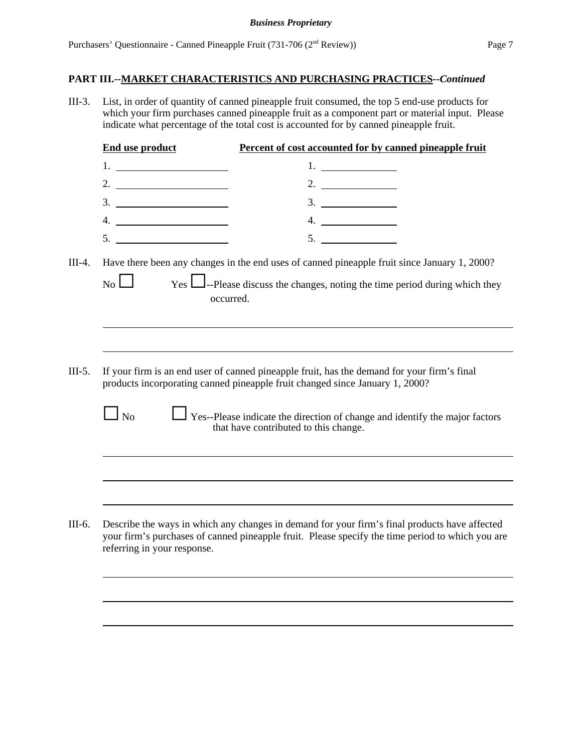III-3. List, in order of quantity of canned pineapple fruit consumed, the top 5 end-use products for which your firm purchases canned pineapple fruit as a component part or material input. Please indicate what percentage of the total cost is accounted for by canned pineapple fruit.

|          | <b>End use product</b>      | Percent of cost accounted for by canned pineapple fruit                                                                                                                                           |
|----------|-----------------------------|---------------------------------------------------------------------------------------------------------------------------------------------------------------------------------------------------|
|          |                             | 1. $\qquad \qquad$                                                                                                                                                                                |
|          | 2. $\qquad \qquad$          | 2.                                                                                                                                                                                                |
|          |                             |                                                                                                                                                                                                   |
|          |                             | 4.                                                                                                                                                                                                |
|          | 5.                          | 5.                                                                                                                                                                                                |
|          |                             |                                                                                                                                                                                                   |
| $III-4.$ | $\overline{N_0}$            | Have there been any changes in the end uses of canned pineapple fruit since January 1, 2000?<br>Yes <b>L</b> -Please discuss the changes, noting the time period during which they<br>occurred.   |
|          |                             |                                                                                                                                                                                                   |
| $III-5.$ |                             | If your firm is an end user of canned pineapple fruit, has the demand for your firm's final<br>products incorporating canned pineapple fruit changed since January 1, 2000?                       |
|          | $\log$                      | Yes--Please indicate the direction of change and identify the major factors<br>that have contributed to this change.                                                                              |
|          |                             |                                                                                                                                                                                                   |
|          |                             |                                                                                                                                                                                                   |
| III-6.   | referring in your response. | Describe the ways in which any changes in demand for your firm's final products have affected<br>your firm's purchases of canned pineapple fruit. Please specify the time period to which you are |
|          |                             |                                                                                                                                                                                                   |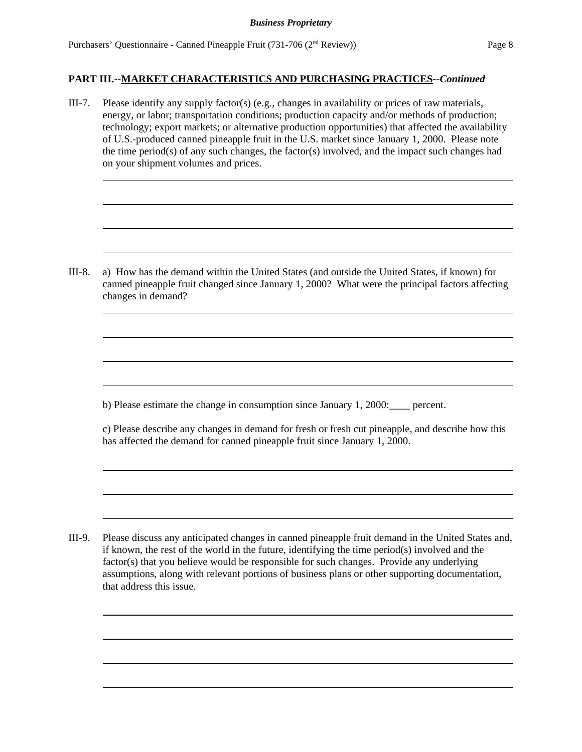III-7. Please identify any supply factor(s) (e.g., changes in availability or prices of raw materials, energy, or labor; transportation conditions; production capacity and/or methods of production; technology; export markets; or alternative production opportunities) that affected the availability of U.S.-produced canned pineapple fruit in the U.S. market since January 1, 2000. Please note the time period(s) of any such changes, the factor(s) involved, and the impact such changes had on your shipment volumes and prices.

III-8. a) How has the demand within the United States (and outside the United States, if known) for canned pineapple fruit changed since January 1, 2000? What were the principal factors affecting changes in demand?

b) Please estimate the change in consumption since January 1, 2000:\_\_\_\_ percent.

c) Please describe any changes in demand for fresh or fresh cut pineapple, and describe how this has affected the demand for canned pineapple fruit since January 1, 2000.

III-9. Please discuss any anticipated changes in canned pineapple fruit demand in the United States and, if known, the rest of the world in the future, identifying the time period $(s)$  involved and the factor(s) that you believe would be responsible for such changes. Provide any underlying assumptions, along with relevant portions of business plans or other supporting documentation, that address this issue.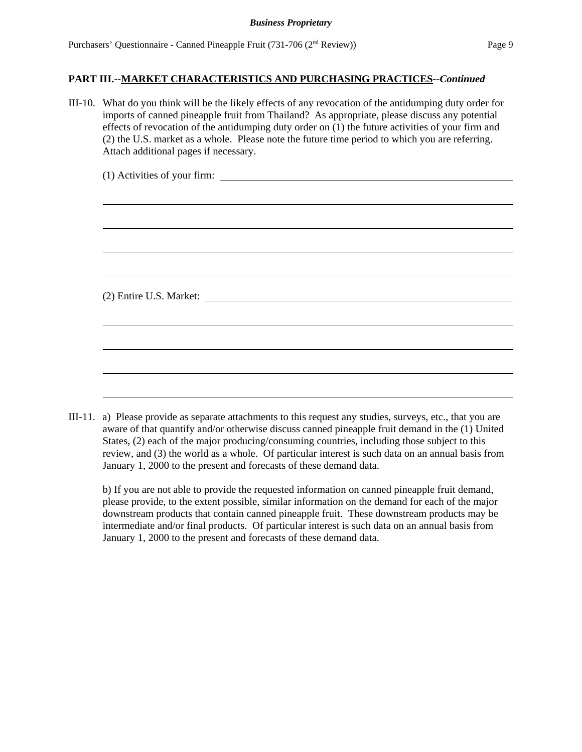| III-10. What do you think will be the likely effects of any revocation of the antidumping duty order for<br>imports of canned pineapple fruit from Thailand? As appropriate, please discuss any potential<br>effects of revocation of the antidumping duty order on $(1)$ the future activities of your firm and<br>(2) the U.S. market as a whole. Please note the future time period to which you are referring.<br>Attach additional pages if necessary. |  |  |  |  |  |
|-------------------------------------------------------------------------------------------------------------------------------------------------------------------------------------------------------------------------------------------------------------------------------------------------------------------------------------------------------------------------------------------------------------------------------------------------------------|--|--|--|--|--|
|                                                                                                                                                                                                                                                                                                                                                                                                                                                             |  |  |  |  |  |
|                                                                                                                                                                                                                                                                                                                                                                                                                                                             |  |  |  |  |  |
|                                                                                                                                                                                                                                                                                                                                                                                                                                                             |  |  |  |  |  |
|                                                                                                                                                                                                                                                                                                                                                                                                                                                             |  |  |  |  |  |
|                                                                                                                                                                                                                                                                                                                                                                                                                                                             |  |  |  |  |  |
|                                                                                                                                                                                                                                                                                                                                                                                                                                                             |  |  |  |  |  |
|                                                                                                                                                                                                                                                                                                                                                                                                                                                             |  |  |  |  |  |
|                                                                                                                                                                                                                                                                                                                                                                                                                                                             |  |  |  |  |  |

III-11. a) Please provide as separate attachments to this request any studies, surveys, etc., that you are aware of that quantify and/or otherwise discuss canned pineapple fruit demand in the (1) United States, (2) each of the major producing/consuming countries, including those subject to this review, and (3) the world as a whole. Of particular interest is such data on an annual basis from January 1, 2000 to the present and forecasts of these demand data.

b) If you are not able to provide the requested information on canned pineapple fruit demand, please provide, to the extent possible, similar information on the demand for each of the major downstream products that contain canned pineapple fruit. These downstream products may be intermediate and/or final products. Of particular interest is such data on an annual basis from January 1, 2000 to the present and forecasts of these demand data.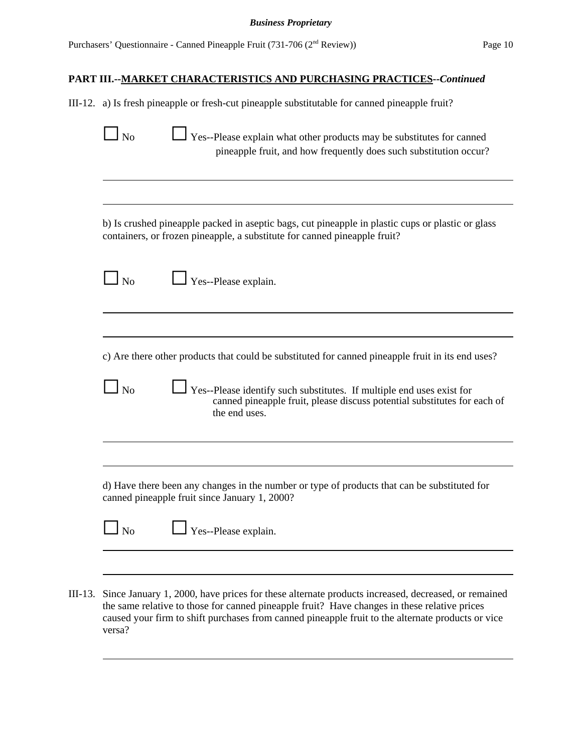|           | III-12. a) Is fresh pineapple or fresh-cut pineapple substitutable for canned pineapple fruit?                                                                                 |
|-----------|--------------------------------------------------------------------------------------------------------------------------------------------------------------------------------|
| $\ln 5$   | $\Box$ Yes--Please explain what other products may be substitutes for canned<br>pineapple fruit, and how frequently does such substitution occur?                              |
|           | b) Is crushed pineapple packed in aseptic bags, cut pineapple in plastic cups or plastic or glass<br>containers, or frozen pineapple, a substitute for canned pineapple fruit? |
| $\Box$ No | Yes--Please explain.                                                                                                                                                           |
|           |                                                                                                                                                                                |
|           | c) Are there other products that could be substituted for canned pineapple fruit in its end uses?                                                                              |
| $\log$    | Yes--Please identify such substitutes. If multiple end uses exist for<br>canned pineapple fruit, please discuss potential substitutes for each of<br>the end uses.             |
|           |                                                                                                                                                                                |
|           |                                                                                                                                                                                |
|           | d) Have there been any changes in the number or type of products that can be substituted for<br>canned pineapple fruit since January 1, 2000?                                  |

III-13. Since January 1, 2000, have prices for these alternate products increased, decreased, or remained the same relative to those for canned pineapple fruit? Have changes in these relative prices caused your firm to shift purchases from canned pineapple fruit to the alternate products or vice versa?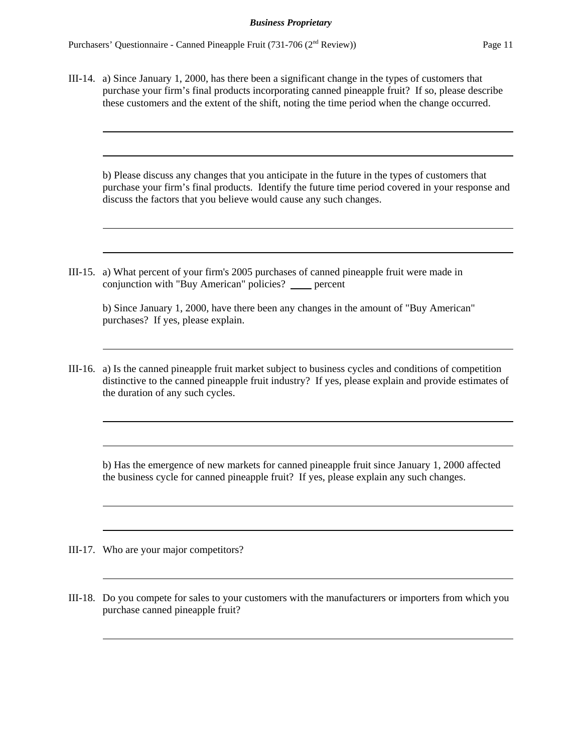III-14. a) Since January 1, 2000, has there been a significant change in the types of customers that purchase your firm's final products incorporating canned pineapple fruit? If so, please describe these customers and the extent of the shift, noting the time period when the change occurred.

b) Please discuss any changes that you anticipate in the future in the types of customers that purchase your firm's final products. Identify the future time period covered in your response and discuss the factors that you believe would cause any such changes.

III-15. a) What percent of your firm's 2005 purchases of canned pineapple fruit were made in conjunction with "Buy American" policies? \_\_\_ percent

| b) Since January 1, 2000, have there been any changes in the amount of "Buy American" |  |  |
|---------------------------------------------------------------------------------------|--|--|
| purchases? If yes, please explain.                                                    |  |  |

III-16. a) Is the canned pineapple fruit market subject to business cycles and conditions of competition distinctive to the canned pineapple fruit industry? If yes, please explain and provide estimates of the duration of any such cycles.

b) Has the emergence of new markets for canned pineapple fruit since January 1, 2000 affected the business cycle for canned pineapple fruit? If yes, please explain any such changes.

- III-17. Who are your major competitors?
- III-18. Do you compete for sales to your customers with the manufacturers or importers from which you purchase canned pineapple fruit?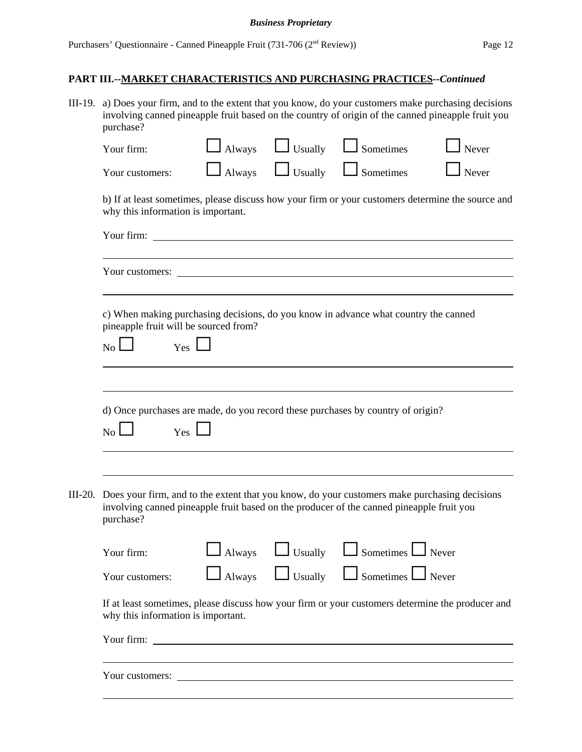#### *Business Proprietary*

# **PART III.--MARKET CHARACTERISTICS AND PURCHASING PRACTICES--***Continued*

III-19. a) Does your firm, and to the extent that you know, do your customers make purchasing decisions involving canned pineapple fruit based on the country of origin of the canned pineapple fruit you purchase?

|         | Your firm:                                                                                                                                                                                                                           | Always | Usually        | Sometimes                                             | Never        |
|---------|--------------------------------------------------------------------------------------------------------------------------------------------------------------------------------------------------------------------------------------|--------|----------------|-------------------------------------------------------|--------------|
|         | Your customers:                                                                                                                                                                                                                      | Always | Usually        | Sometimes                                             | Never        |
|         | b) If at least sometimes, please discuss how your firm or your customers determine the source and<br>why this information is important.                                                                                              |        |                |                                                       |              |
|         |                                                                                                                                                                                                                                      |        |                |                                                       |              |
|         | Your customers: <u>contract the contract of the second second second second second second second second second second second second second second second second second second second second second second second second second s</u> |        |                |                                                       |              |
|         | c) When making purchasing decisions, do you know in advance what country the canned<br>pineapple fruit will be sourced from?<br>Yes<br>N <sub>o</sub>                                                                                |        |                |                                                       |              |
|         | d) Once purchases are made, do you record these purchases by country of origin?<br>$Yes$ $\lfloor$<br>$\overline{N_{O}}$                                                                                                             |        |                |                                                       |              |
| III-20. | Does your firm, and to the extent that you know, do your customers make purchasing decisions<br>involving canned pineapple fruit based on the producer of the canned pineapple fruit you<br>purchase?                                |        |                |                                                       |              |
|         | Your firm:                                                                                                                                                                                                                           | Always | Usually        | $\mathsf{\mathsf{I}}$ Sometimes $\mathsf{\mathsf{L}}$ | $\Box$ Never |
|         | Your customers:                                                                                                                                                                                                                      | Always | $\Box$ Usually | $\Box$ Sometimes $\Box$ Never                         |              |
|         | If at least sometimes, please discuss how your firm or your customers determine the producer and<br>why this information is important.                                                                                               |        |                |                                                       |              |
|         | Your firm: The Commission of the Commission of the Commission of the Commission of the Commission of the Commission of the Commission of the Commission of the Commission of the Commission of the Commission of the Commissio       |        |                |                                                       |              |
|         | Your customers:                                                                                                                                                                                                                      |        |                |                                                       |              |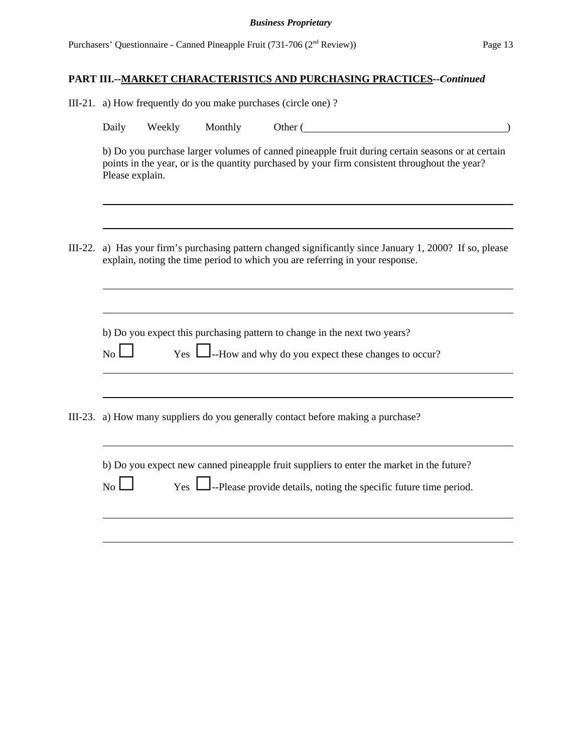|           | III-21. a) How frequently do you make purchases (circle one)? |        |         |                                                                                                                                                                                                   |
|-----------|---------------------------------------------------------------|--------|---------|---------------------------------------------------------------------------------------------------------------------------------------------------------------------------------------------------|
|           | Daily                                                         | Weekly | Monthly | Other (                                                                                                                                                                                           |
|           | Please explain.                                               |        |         | b) Do you purchase larger volumes of canned pineapple fruit during certain seasons or at certain<br>points in the year, or is the quantity purchased by your firm consistent throughout the year? |
| $III-22.$ |                                                               |        |         | a) Has your firm's purchasing pattern changed significantly since January 1, 2000? If so, please<br>explain, noting the time period to which you are referring in your response.                  |
|           |                                                               |        |         |                                                                                                                                                                                                   |
|           | $\overline{N_0}$                                              | Yes 1  |         | b) Do you expect this purchasing pattern to change in the next two years?<br>$\Box$ --How and why do you expect these changes to occur?                                                           |
|           |                                                               |        |         | III-23. a) How many suppliers do you generally contact before making a purchase?                                                                                                                  |
|           | N <sub>o</sub>                                                | Yes L  |         | b) Do you expect new canned pineapple fruit suppliers to enter the market in the future?<br>$\Box$ --Please provide details, noting the specific future time period.                              |
|           |                                                               |        |         |                                                                                                                                                                                                   |
|           |                                                               |        |         |                                                                                                                                                                                                   |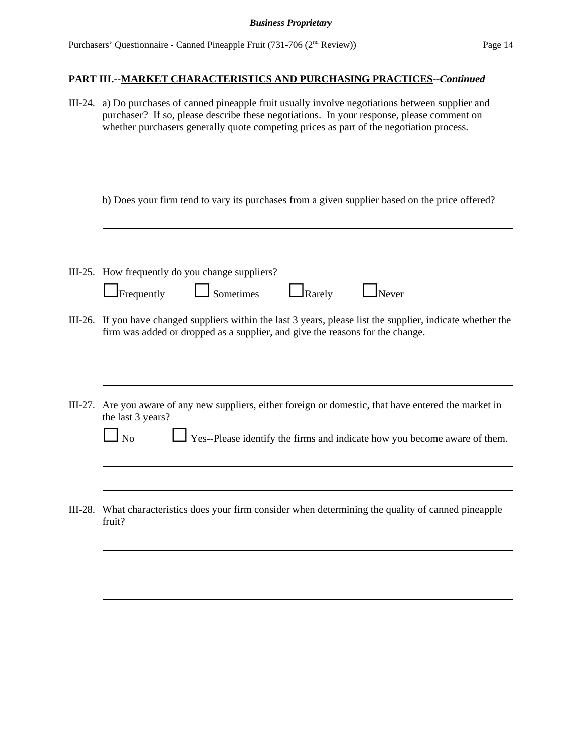| III-24. | a) Do purchases of canned pineapple fruit usually involve negotiations between supplier and<br>purchaser? If so, please describe these negotiations. In your response, please comment on<br>whether purchasers generally quote competing prices as part of the negotiation process. |  |  |  |
|---------|-------------------------------------------------------------------------------------------------------------------------------------------------------------------------------------------------------------------------------------------------------------------------------------|--|--|--|
|         | b) Does your firm tend to vary its purchases from a given supplier based on the price offered?                                                                                                                                                                                      |  |  |  |
|         | III-25. How frequently do you change suppliers?                                                                                                                                                                                                                                     |  |  |  |
|         | Frequently<br>Sometimes<br>Rarely<br>Never                                                                                                                                                                                                                                          |  |  |  |
|         | III-26. If you have changed suppliers within the last 3 years, please list the supplier, indicate whether the<br>firm was added or dropped as a supplier, and give the reasons for the change.                                                                                      |  |  |  |
| III-27. | Are you aware of any new suppliers, either foreign or domestic, that have entered the market in<br>the last 3 years?<br>$\overline{N}$<br>Yes--Please identify the firms and indicate how you become aware of them.                                                                 |  |  |  |
| III-28. | What characteristics does your firm consider when determining the quality of canned pineapple<br>fruit?                                                                                                                                                                             |  |  |  |
|         |                                                                                                                                                                                                                                                                                     |  |  |  |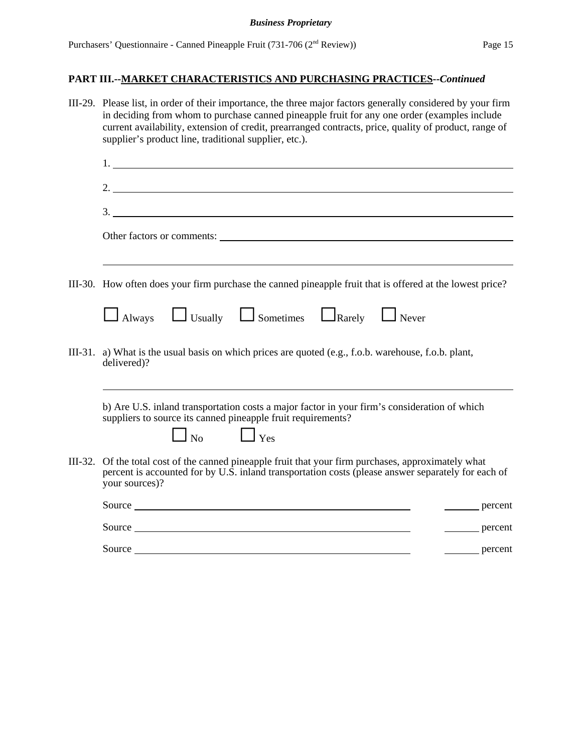#### *Business Proprietary*

| III-29. Please list, in order of their importance, the three major factors generally considered by your firm<br>in deciding from whom to purchase canned pineapple fruit for any one order (examples include<br>current availability, extension of credit, prearranged contracts, price, quality of product, range of<br>supplier's product line, traditional supplier, etc.). |
|--------------------------------------------------------------------------------------------------------------------------------------------------------------------------------------------------------------------------------------------------------------------------------------------------------------------------------------------------------------------------------|
|                                                                                                                                                                                                                                                                                                                                                                                |
| 2.                                                                                                                                                                                                                                                                                                                                                                             |
|                                                                                                                                                                                                                                                                                                                                                                                |
| Other factors or comments:                                                                                                                                                                                                                                                                                                                                                     |
| III-30. How often does your firm purchase the canned pineapple fruit that is offered at the lowest price?                                                                                                                                                                                                                                                                      |
| Always U Usually U Sometimes L Rarely Never                                                                                                                                                                                                                                                                                                                                    |
| III-31. a) What is the usual basis on which prices are quoted (e.g., f.o.b. warehouse, f.o.b. plant,<br>delivered)?                                                                                                                                                                                                                                                            |
| b) Are U.S. inland transportation costs a major factor in your firm's consideration of which<br>suppliers to source its canned pineapple fruit requirements?<br>$\Box$ No $\Box$ Yes                                                                                                                                                                                           |
| III-32. Of the total cost of the canned pineapple fruit that your firm purchases, approximately what<br>percent is accounted for by U.S. inland transportation costs (please answer separately for each of<br>your sources)?                                                                                                                                                   |
| percent                                                                                                                                                                                                                                                                                                                                                                        |
| percent                                                                                                                                                                                                                                                                                                                                                                        |
| Source <b>Source Source Source Source Source</b><br>percent                                                                                                                                                                                                                                                                                                                    |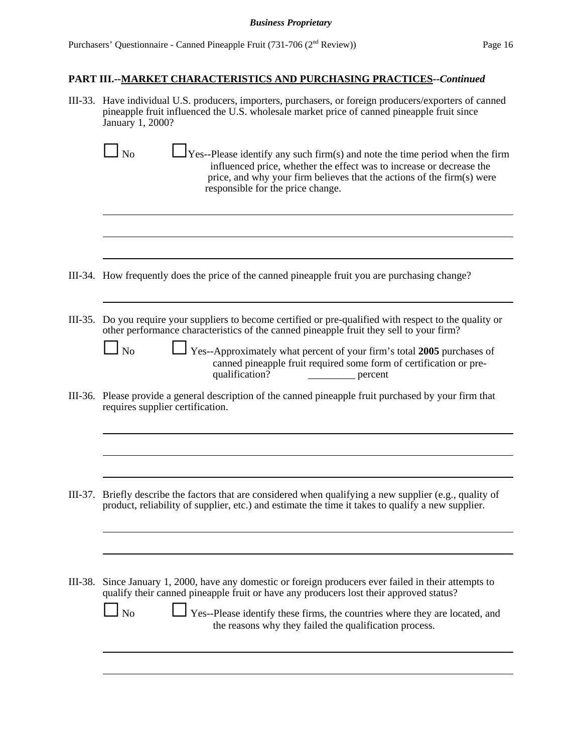III-33. Have individual U.S. producers, importers, purchasers, or foreign producers/exporters of canned pineapple fruit influenced the U.S. wholesale market price of canned pineapple fruit since January 1, 2000?

| $Y$ es--Please identify any such firm(s) and note the time period when the firm<br>N <sub>o</sub><br>influenced price, whether the effect was to increase or decrease the<br>price, and why your firm believes that the actions of the firm(s) were<br>responsible for the price change.                                                                                                            |
|-----------------------------------------------------------------------------------------------------------------------------------------------------------------------------------------------------------------------------------------------------------------------------------------------------------------------------------------------------------------------------------------------------|
|                                                                                                                                                                                                                                                                                                                                                                                                     |
| III-34. How frequently does the price of the canned pineapple fruit you are purchasing change?                                                                                                                                                                                                                                                                                                      |
| III-35. Do you require your suppliers to become certified or pre-qualified with respect to the quality or<br>other performance characteristics of the canned pineapple fruit they sell to your firm?<br>Yes--Approximately what percent of your firm's total 2005 purchases of<br>N <sub>o</sub><br>canned pineapple fruit required some form of certification or pre-<br>qualification?<br>percent |
| III-36. Please provide a general description of the canned pineapple fruit purchased by your firm that<br>requires supplier certification.                                                                                                                                                                                                                                                          |
| Briefly describe the factors that are considered when qualifying a new supplier (e.g., quality of<br>product, reliability of supplier, etc.) and estimate the time it takes to qualify a new supplier.                                                                                                                                                                                              |
| III-38. Since January 1, 2000, have any domestic or foreign producers ever failed in their attempts to<br>qualify their canned pineapple fruit or have any producers lost their approved status?<br>Yes--Please identify these firms, the countries where they are located, and<br>N <sub>o</sub><br>the reasons why they failed the qualification process.                                         |
|                                                                                                                                                                                                                                                                                                                                                                                                     |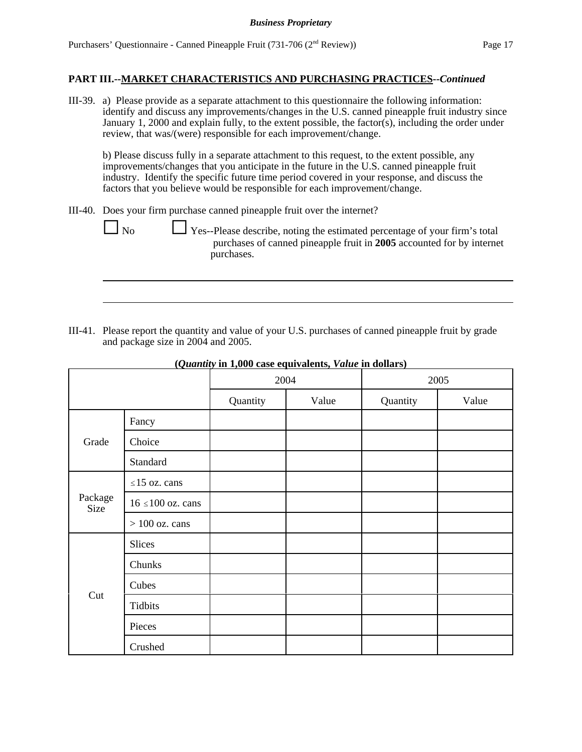III-39. a) Please provide as a separate attachment to this questionnaire the following information: identify and discuss any improvements/changes in the U.S. canned pineapple fruit industry since January 1, 2000 and explain fully, to the extent possible, the factor(s), including the order under review, that was/(were) responsible for each improvement/change.

b) Please discuss fully in a separate attachment to this request, to the extent possible, any improvements/changes that you anticipate in the future in the U.S. canned pineapple fruit industry. Identify the specific future time period covered in your response, and discuss the factors that you believe would be responsible for each improvement/change.

III-40. Does your firm purchase canned pineapple fruit over the internet?

No Ses--Please describe, noting the estimated percentage of your firm's total purchases of canned pineapple fruit in **2005** accounted for by internet purchases.

III-41. Please report the quantity and value of your U.S. purchases of canned pineapple fruit by grade and package size in 2004 and 2005.

|                        |                       | 2004     |       | 2005     |       |
|------------------------|-----------------------|----------|-------|----------|-------|
|                        |                       | Quantity | Value | Quantity | Value |
|                        | Fancy                 |          |       |          |       |
| Grade                  | Choice                |          |       |          |       |
|                        | Standard              |          |       |          |       |
|                        | $\leq$ 15 oz. cans    |          |       |          |       |
| Package<br><b>Size</b> | $16 \le 100$ oz. cans |          |       |          |       |
|                        | $>100$ oz. cans       |          |       |          |       |
|                        | Slices                |          |       |          |       |
|                        | Chunks                |          |       |          |       |
|                        | Cubes                 |          |       |          |       |
| Cut                    | Tidbits               |          |       |          |       |
|                        | Pieces                |          |       |          |       |
|                        | Crushed               |          |       |          |       |

**(***Quantity* **in 1,000 case equivalents,** *Value* **in dollars)**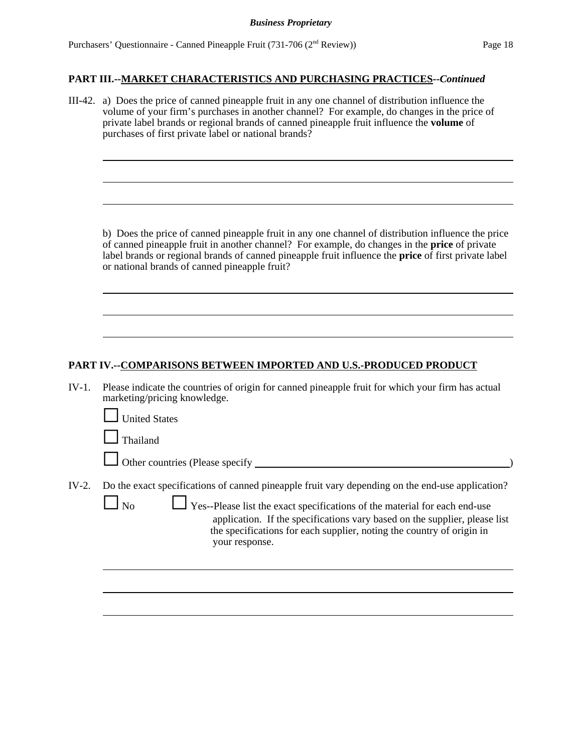|         | III-42. a) Does the price of canned pineapple fruit in any one channel of distribution influence the<br>volume of your firm's purchases in another channel? For example, do changes in the price of<br>private label brands or regional brands of canned pineapple fruit influence the volume of<br>purchases of first private label or national brands?     |  |  |  |  |
|---------|--------------------------------------------------------------------------------------------------------------------------------------------------------------------------------------------------------------------------------------------------------------------------------------------------------------------------------------------------------------|--|--|--|--|
|         |                                                                                                                                                                                                                                                                                                                                                              |  |  |  |  |
|         | b) Does the price of canned pineapple fruit in any one channel of distribution influence the price<br>of canned pineapple fruit in another channel? For example, do changes in the price of private<br>label brands or regional brands of canned pineapple fruit influence the price of first private label<br>or national brands of canned pineapple fruit? |  |  |  |  |
|         |                                                                                                                                                                                                                                                                                                                                                              |  |  |  |  |
|         | PART IV.--COMPARISONS BETWEEN IMPORTED AND U.S.-PRODUCED PRODUCT                                                                                                                                                                                                                                                                                             |  |  |  |  |
| $IV-1.$ | Please indicate the countries of origin for canned pineapple fruit for which your firm has actual<br>marketing/pricing knowledge.                                                                                                                                                                                                                            |  |  |  |  |
|         | <b>United States</b>                                                                                                                                                                                                                                                                                                                                         |  |  |  |  |
|         | Thailand                                                                                                                                                                                                                                                                                                                                                     |  |  |  |  |
|         |                                                                                                                                                                                                                                                                                                                                                              |  |  |  |  |
| $IV-2.$ | Do the exact specifications of canned pineapple fruit vary depending on the end-use application?                                                                                                                                                                                                                                                             |  |  |  |  |
|         | Yes--Please list the exact specifications of the material for each end-use<br>N <sub>o</sub><br>application. If the specifications vary based on the supplier, please list<br>the specifications for each supplier, noting the country of origin in<br>your response.                                                                                        |  |  |  |  |
|         |                                                                                                                                                                                                                                                                                                                                                              |  |  |  |  |
|         |                                                                                                                                                                                                                                                                                                                                                              |  |  |  |  |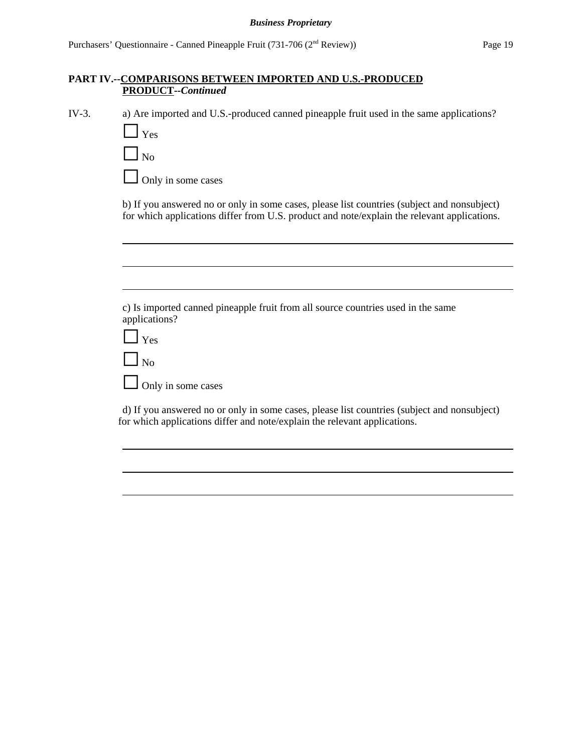IV-3. a) Are imported and U.S.-produced canned pineapple fruit used in the same applications?

| l Yes                    |                           |
|--------------------------|---------------------------|
| $\vert \vert$ $\vert$ No |                           |
|                          | $\Box$ Only in some cases |

b) If you answered no or only in some cases, please list countries (subject and nonsubject) for which applications differ from U.S. product and note/explain the relevant applications.

c) Is imported canned pineapple fruit from all source countries used in the same applications?

| Yes |
|-----|
| o   |

Only in some cases

d) If you answered no or only in some cases, please list countries (subject and nonsubject) for which applications differ and note/explain the relevant applications.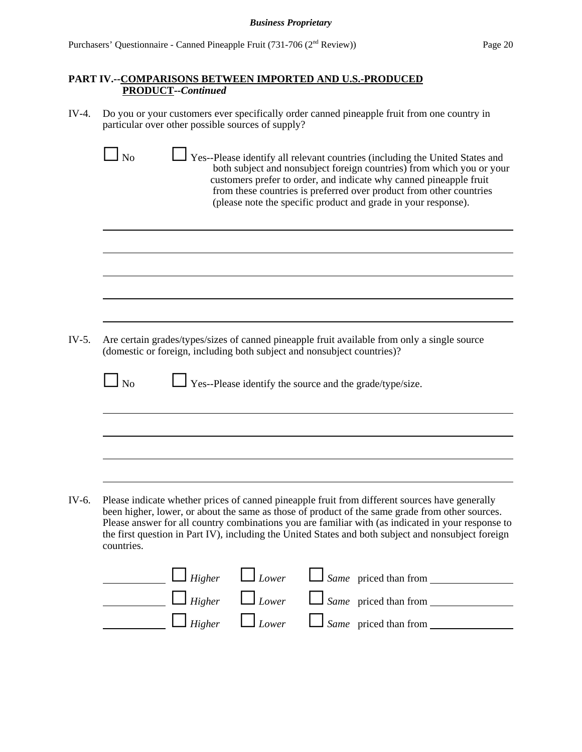IV-4. Do you or your customers ever specifically order canned pineapple fruit from one country in particular over other possible sources of supply?

| $IV-5.$<br>Are certain grades/types/sizes of canned pineapple fruit available from only a single source<br>(domestic or foreign, including both subject and nonsubject countries)?<br>$\Box$ No<br>$\Box$ Yes--Please identify the source and the grade/type/size.                                                                                                                                                           | Yes--Please identify all relevant countries (including the United States and<br>both subject and nonsubject foreign countries) from which you or your<br>customers prefer to order, and indicate why canned pineapple fruit<br>from these countries is preferred over product from other countries<br>(please note the specific product and grade in your response). |
|------------------------------------------------------------------------------------------------------------------------------------------------------------------------------------------------------------------------------------------------------------------------------------------------------------------------------------------------------------------------------------------------------------------------------|----------------------------------------------------------------------------------------------------------------------------------------------------------------------------------------------------------------------------------------------------------------------------------------------------------------------------------------------------------------------|
|                                                                                                                                                                                                                                                                                                                                                                                                                              |                                                                                                                                                                                                                                                                                                                                                                      |
|                                                                                                                                                                                                                                                                                                                                                                                                                              |                                                                                                                                                                                                                                                                                                                                                                      |
|                                                                                                                                                                                                                                                                                                                                                                                                                              |                                                                                                                                                                                                                                                                                                                                                                      |
|                                                                                                                                                                                                                                                                                                                                                                                                                              |                                                                                                                                                                                                                                                                                                                                                                      |
|                                                                                                                                                                                                                                                                                                                                                                                                                              |                                                                                                                                                                                                                                                                                                                                                                      |
|                                                                                                                                                                                                                                                                                                                                                                                                                              |                                                                                                                                                                                                                                                                                                                                                                      |
| Please indicate whether prices of canned pineapple fruit from different sources have generally<br>been higher, lower, or about the same as those of product of the same grade from other sources.<br>Please answer for all country combinations you are familiar with (as indicated in your response to<br>the first question in Part IV), including the United States and both subject and nonsubject foreign<br>countries. |                                                                                                                                                                                                                                                                                                                                                                      |
| $\Box$ Higher $\Box$ Lower $\Box$ Same priced than from $\Box$                                                                                                                                                                                                                                                                                                                                                               |                                                                                                                                                                                                                                                                                                                                                                      |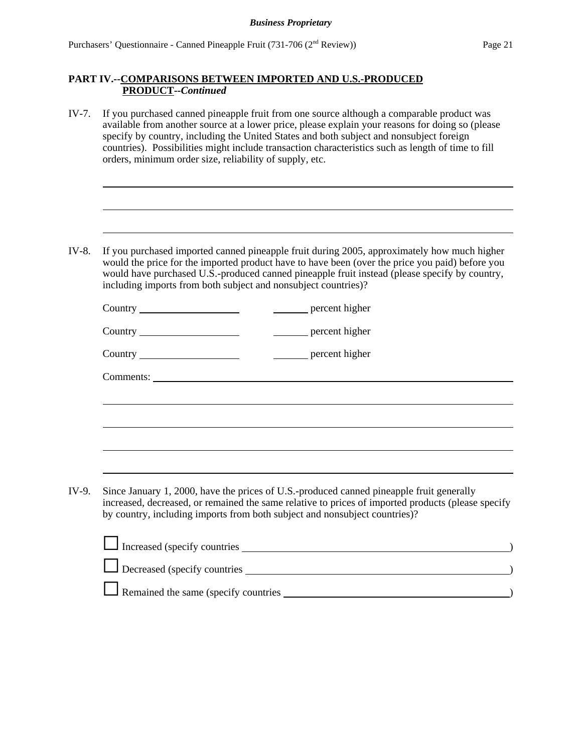IV-7. If you purchased canned pineapple fruit from one source although a comparable product was available from another source at a lower price, please explain your reasons for doing so (please specify by country, including the United States and both subject and nonsubject foreign countries). Possibilities might include transaction characteristics such as length of time to fill orders, minimum order size, reliability of supply, etc.

IV-8. If you purchased imported canned pineapple fruit during 2005, approximately how much higher would the price for the imported product have to have been (over the price you paid) before you would have purchased U.S.-produced canned pineapple fruit instead (please specify by country, including imports from both subject and nonsubject countries)?

| IV-9. | Since January 1, 2000, have the prices of U.S.-produced canned pineapple fruit generally<br>increased, decreased, or remained the same relative to prices of imported products (please specify<br>by country, including imports from both subject and nonsubject countries)? |  |  |  |
|-------|------------------------------------------------------------------------------------------------------------------------------------------------------------------------------------------------------------------------------------------------------------------------------|--|--|--|
|       | Increased (specify countries 1996)                                                                                                                                                                                                                                           |  |  |  |

| Increased (specify countries                |  |
|---------------------------------------------|--|
| Decreased (specify countries                |  |
| $\Box$ Remained the same (specify countries |  |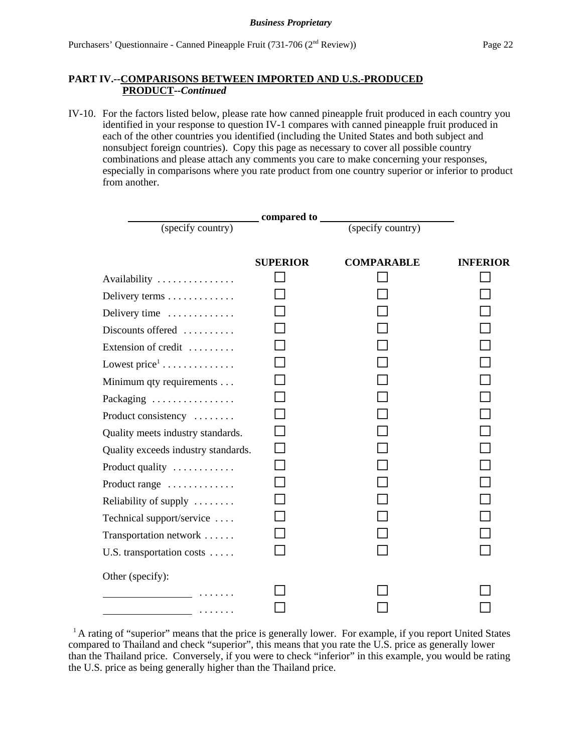IV-10. For the factors listed below, please rate how canned pineapple fruit produced in each country you identified in your response to question IV-1 compares with canned pineapple fruit produced in each of the other countries you identified (including the United States and both subject and nonsubject foreign countries). Copy this page as necessary to cover all possible country combinations and please attach any comments you care to make concerning your responses, especially in comparisons where you rate product from one country superior or inferior to product from another.

|                                     | compared to     |                   |                 |
|-------------------------------------|-----------------|-------------------|-----------------|
| (specify country)                   |                 | (specify country) |                 |
|                                     | <b>SUPERIOR</b> | <b>COMPARABLE</b> | <b>INFERIOR</b> |
| Availability                        |                 |                   |                 |
| Delivery terms                      |                 |                   |                 |
| Delivery time                       |                 |                   |                 |
| Discounts offered                   |                 |                   |                 |
| Extension of credit                 |                 |                   |                 |
| Lowest $price^1$                    |                 |                   |                 |
| Minimum qty requirements            |                 |                   |                 |
| Packaging                           |                 |                   |                 |
| Product consistency                 |                 |                   |                 |
| Quality meets industry standards.   |                 |                   |                 |
| Quality exceeds industry standards. |                 |                   |                 |
| Product quality                     |                 |                   |                 |
| Product range                       |                 |                   |                 |
| Reliability of supply               |                 |                   |                 |
| Technical support/service           |                 |                   |                 |
| Transportation network              |                 |                   |                 |
| U.S. transportation costs           |                 |                   |                 |
| Other (specify):                    |                 |                   |                 |
| and the contract of the contract of |                 |                   |                 |
| .                                   |                 |                   |                 |

<sup>&</sup>lt;sup>1</sup> A rating of "superior" means that the price is generally lower. For example, if you report United States compared to Thailand and check "superior", this means that you rate the U.S. price as generally lower than the Thailand price. Conversely, if you were to check "inferior" in this example, you would be rating the U.S. price as being generally higher than the Thailand price.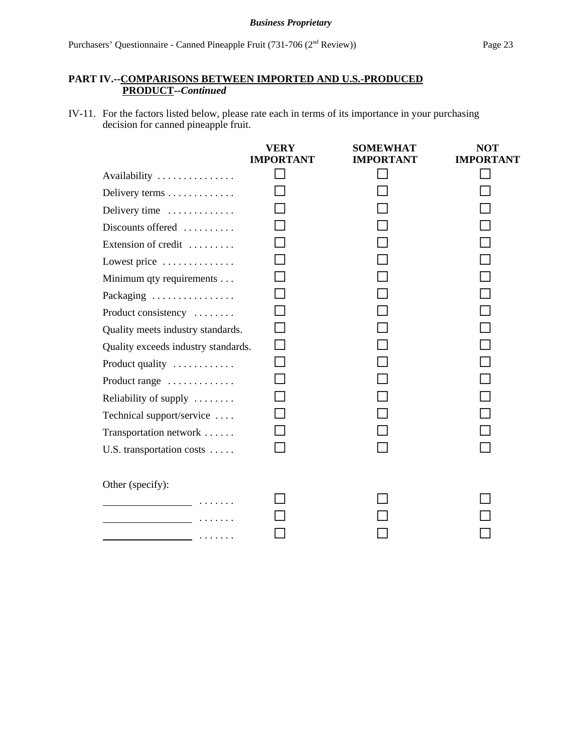IV-11. For the factors listed below, please rate each in terms of its importance in your purchasing decision for canned pineapple fruit.

|                                                                                                                 | <b>VERY</b><br><b>IMPORTANT</b> | <b>SOMEWHAT</b><br><b>IMPORTANT</b> | <b>NOT</b><br><b>IMPORTANT</b> |
|-----------------------------------------------------------------------------------------------------------------|---------------------------------|-------------------------------------|--------------------------------|
| Availability                                                                                                    |                                 |                                     |                                |
| Delivery terms                                                                                                  |                                 |                                     |                                |
| Delivery time                                                                                                   |                                 |                                     |                                |
| Discounts offered                                                                                               |                                 |                                     |                                |
| Extension of credit                                                                                             |                                 |                                     |                                |
| Lowest price                                                                                                    |                                 |                                     |                                |
| Minimum qty requirements                                                                                        |                                 |                                     |                                |
| Packaging                                                                                                       |                                 |                                     |                                |
| Product consistency                                                                                             |                                 |                                     |                                |
| Quality meets industry standards.                                                                               |                                 |                                     |                                |
| Quality exceeds industry standards.                                                                             |                                 |                                     |                                |
| Product quality                                                                                                 |                                 |                                     |                                |
| Product range                                                                                                   |                                 |                                     |                                |
| Reliability of supply                                                                                           |                                 |                                     |                                |
| Technical support/service                                                                                       |                                 |                                     |                                |
| Transportation network                                                                                          |                                 |                                     |                                |
| U.S. transportation costs                                                                                       |                                 |                                     |                                |
| Other (specify):                                                                                                |                                 |                                     |                                |
|                                                                                                                 |                                 |                                     |                                |
| the contract of the contract of the contract of the contract of the contract of the contract of the contract of |                                 |                                     |                                |
|                                                                                                                 |                                 |                                     |                                |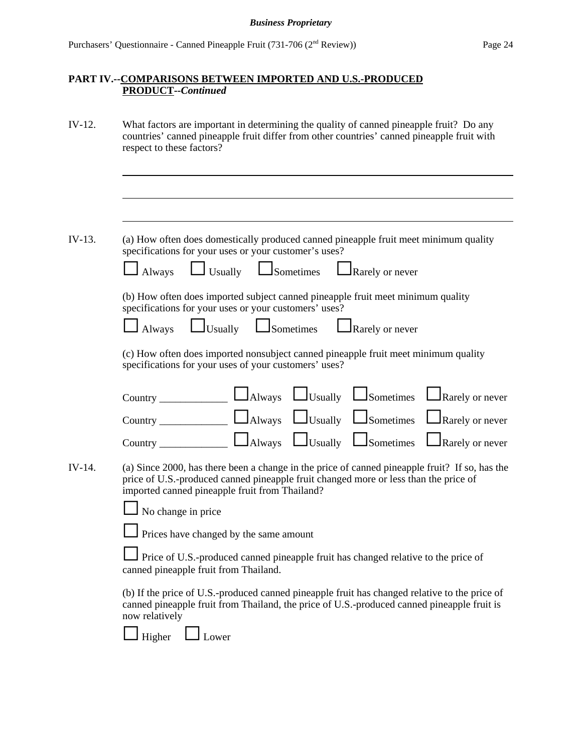| $IV-12.$ | What factors are important in determining the quality of canned pineapple fruit? Do any<br>countries' canned pineapple fruit differ from other countries' canned pineapple fruit with<br>respect to these factors?                                                                                                                     |  |  |  |  |
|----------|----------------------------------------------------------------------------------------------------------------------------------------------------------------------------------------------------------------------------------------------------------------------------------------------------------------------------------------|--|--|--|--|
|          |                                                                                                                                                                                                                                                                                                                                        |  |  |  |  |
| IV-13.   | (a) How often does domestically produced canned pineapple fruit meet minimum quality<br>specifications for your uses or your customer's uses?                                                                                                                                                                                          |  |  |  |  |
|          | Usually <b>L</b> Sometimes <b>L</b> Rarely or never<br>Always                                                                                                                                                                                                                                                                          |  |  |  |  |
|          | (b) How often does imported subject canned pineapple fruit meet minimum quality<br>specifications for your uses or your customers' uses?                                                                                                                                                                                               |  |  |  |  |
|          | Usually <u>USometimes</u> LRarely or never<br>Always                                                                                                                                                                                                                                                                                   |  |  |  |  |
|          | (c) How often does imported nonsubject canned pineapple fruit meet minimum quality<br>specifications for your uses of your customers' uses?                                                                                                                                                                                            |  |  |  |  |
|          | Rarely or never                                                                                                                                                                                                                                                                                                                        |  |  |  |  |
|          | Rarely or never                                                                                                                                                                                                                                                                                                                        |  |  |  |  |
|          | $\frac{1}{2}$ $\frac{1}{2}$ $\frac{1}{2}$ $\frac{1}{2}$ $\frac{1}{2}$ $\frac{1}{2}$ $\frac{1}{2}$ $\frac{1}{2}$ $\frac{1}{2}$ $\frac{1}{2}$ $\frac{1}{2}$ $\frac{1}{2}$ $\frac{1}{2}$ $\frac{1}{2}$ $\frac{1}{2}$ $\frac{1}{2}$ $\frac{1}{2}$ $\frac{1}{2}$ $\frac{1}{2}$ $\frac{1}{2}$ $\frac{1}{2}$ $\frac{1}{2}$<br>Rarely or never |  |  |  |  |
| IV-14.   | (a) Since 2000, has there been a change in the price of canned pineapple fruit? If so, has the<br>price of U.S.-produced canned pineapple fruit changed more or less than the price of<br>imported canned pineapple fruit from Thailand?                                                                                               |  |  |  |  |
|          | No change in price                                                                                                                                                                                                                                                                                                                     |  |  |  |  |
|          | Prices have changed by the same amount                                                                                                                                                                                                                                                                                                 |  |  |  |  |
|          | Price of U.S.-produced canned pineapple fruit has changed relative to the price of<br>canned pineapple fruit from Thailand.                                                                                                                                                                                                            |  |  |  |  |
|          | (b) If the price of U.S.-produced canned pineapple fruit has changed relative to the price of<br>canned pineapple fruit from Thailand, the price of U.S.-produced canned pineapple fruit is<br>now relatively                                                                                                                          |  |  |  |  |
|          | Higher<br>Lower                                                                                                                                                                                                                                                                                                                        |  |  |  |  |